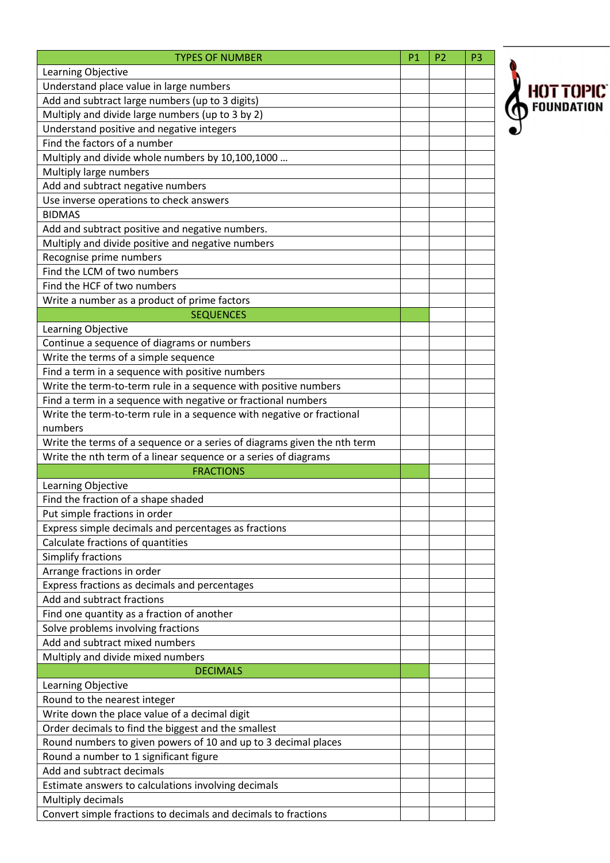| <b>TYPES OF NUMBER</b>                                                   | P1 | P <sub>2</sub> | P <sub>3</sub> |
|--------------------------------------------------------------------------|----|----------------|----------------|
| Learning Objective                                                       |    |                |                |
| Understand place value in large numbers                                  |    |                |                |
| Add and subtract large numbers (up to 3 digits)                          |    |                |                |
| Multiply and divide large numbers (up to 3 by 2)                         |    |                |                |
| Understand positive and negative integers                                |    |                |                |
| Find the factors of a number                                             |    |                |                |
| Multiply and divide whole numbers by 10,100,1000                         |    |                |                |
| Multiply large numbers                                                   |    |                |                |
| Add and subtract negative numbers                                        |    |                |                |
| Use inverse operations to check answers                                  |    |                |                |
| <b>BIDMAS</b>                                                            |    |                |                |
| Add and subtract positive and negative numbers.                          |    |                |                |
| Multiply and divide positive and negative numbers                        |    |                |                |
| Recognise prime numbers                                                  |    |                |                |
| Find the LCM of two numbers                                              |    |                |                |
| Find the HCF of two numbers                                              |    |                |                |
| Write a number as a product of prime factors                             |    |                |                |
| <b>SEQUENCES</b>                                                         |    |                |                |
| Learning Objective                                                       |    |                |                |
| Continue a sequence of diagrams or numbers                               |    |                |                |
| Write the terms of a simple sequence                                     |    |                |                |
| Find a term in a sequence with positive numbers                          |    |                |                |
| Write the term-to-term rule in a sequence with positive numbers          |    |                |                |
| Find a term in a sequence with negative or fractional numbers            |    |                |                |
| Write the term-to-term rule in a sequence with negative or fractional    |    |                |                |
| numbers                                                                  |    |                |                |
| Write the terms of a sequence or a series of diagrams given the nth term |    |                |                |
| Write the nth term of a linear sequence or a series of diagrams          |    |                |                |
| <b>FRACTIONS</b>                                                         |    |                |                |
| Learning Objective                                                       |    |                |                |
| Find the fraction of a shape shaded                                      |    |                |                |
| Put simple fractions in order                                            |    |                |                |
| Express simple decimals and percentages as fractions                     |    |                |                |
| Calculate fractions of quantities                                        |    |                |                |
| Simplify fractions                                                       |    |                |                |
| Arrange fractions in order                                               |    |                |                |
| Express fractions as decimals and percentages                            |    |                |                |
| Add and subtract fractions                                               |    |                |                |
| Find one quantity as a fraction of another                               |    |                |                |
| Solve problems involving fractions                                       |    |                |                |
| Add and subtract mixed numbers                                           |    |                |                |
| Multiply and divide mixed numbers                                        |    |                |                |
| <b>DECIMALS</b>                                                          |    |                |                |
| Learning Objective                                                       |    |                |                |
| Round to the nearest integer                                             |    |                |                |
| Write down the place value of a decimal digit                            |    |                |                |
| Order decimals to find the biggest and the smallest                      |    |                |                |
| Round numbers to given powers of 10 and up to 3 decimal places           |    |                |                |
| Round a number to 1 significant figure                                   |    |                |                |
| Add and subtract decimals                                                |    |                |                |
| Estimate answers to calculations involving decimals                      |    |                |                |
| Multiply decimals                                                        |    |                |                |
| Convert simple fractions to decimals and decimals to fractions           |    |                |                |

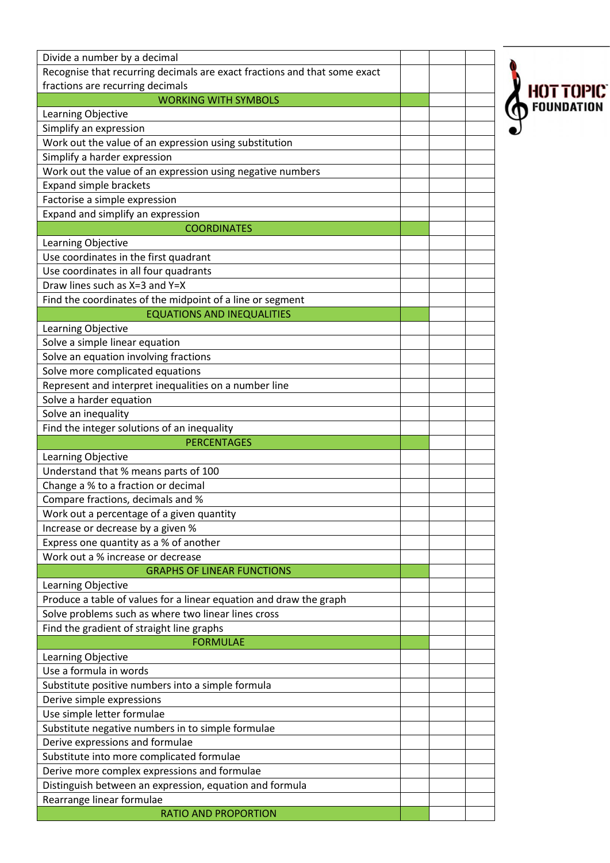| Divide a number by a decimal                                              |  |                                |
|---------------------------------------------------------------------------|--|--------------------------------|
| Recognise that recurring decimals are exact fractions and that some exact |  |                                |
| fractions are recurring decimals                                          |  |                                |
| <b>WORKING WITH SYMBOLS</b>                                               |  | <b>HOT TOPIC</b><br>FOUNDATION |
| Learning Objective                                                        |  |                                |
| Simplify an expression                                                    |  |                                |
| Work out the value of an expression using substitution                    |  |                                |
| Simplify a harder expression                                              |  |                                |
| Work out the value of an expression using negative numbers                |  |                                |
| <b>Expand simple brackets</b>                                             |  |                                |
| Factorise a simple expression                                             |  |                                |
| Expand and simplify an expression                                         |  |                                |
| <b>COORDINATES</b>                                                        |  |                                |
| Learning Objective                                                        |  |                                |
| Use coordinates in the first quadrant                                     |  |                                |
| Use coordinates in all four quadrants                                     |  |                                |
| Draw lines such as X=3 and Y=X                                            |  |                                |
| Find the coordinates of the midpoint of a line or segment                 |  |                                |
| <b>EQUATIONS AND INEQUALITIES</b>                                         |  |                                |
| Learning Objective                                                        |  |                                |
| Solve a simple linear equation                                            |  |                                |
| Solve an equation involving fractions                                     |  |                                |
| Solve more complicated equations                                          |  |                                |
| Represent and interpret inequalities on a number line                     |  |                                |
| Solve a harder equation                                                   |  |                                |
| Solve an inequality                                                       |  |                                |
| Find the integer solutions of an inequality                               |  |                                |
|                                                                           |  |                                |
| <b>PERCENTAGES</b>                                                        |  |                                |
| Learning Objective                                                        |  |                                |
| Understand that % means parts of 100                                      |  |                                |
| Change a % to a fraction or decimal                                       |  |                                |
| Compare fractions, decimals and %                                         |  |                                |
| Work out a percentage of a given quantity                                 |  |                                |
| Increase or decrease by a given %                                         |  |                                |
| Express one quantity as a % of another                                    |  |                                |
| Work out a % increase or decrease                                         |  |                                |
| <b>GRAPHS OF LINEAR FUNCTIONS</b>                                         |  |                                |
| Learning Objective                                                        |  |                                |
| Produce a table of values for a linear equation and draw the graph        |  |                                |
| Solve problems such as where two linear lines cross                       |  |                                |
| Find the gradient of straight line graphs                                 |  |                                |
| <b>FORMULAE</b>                                                           |  |                                |
| Learning Objective                                                        |  |                                |
| Use a formula in words                                                    |  |                                |
| Substitute positive numbers into a simple formula                         |  |                                |
| Derive simple expressions                                                 |  |                                |
| Use simple letter formulae                                                |  |                                |
| Substitute negative numbers in to simple formulae                         |  |                                |
| Derive expressions and formulae                                           |  |                                |
| Substitute into more complicated formulae                                 |  |                                |
| Derive more complex expressions and formulae                              |  |                                |
| Distinguish between an expression, equation and formula                   |  |                                |
| Rearrange linear formulae<br><b>RATIO AND PROPORTION</b>                  |  |                                |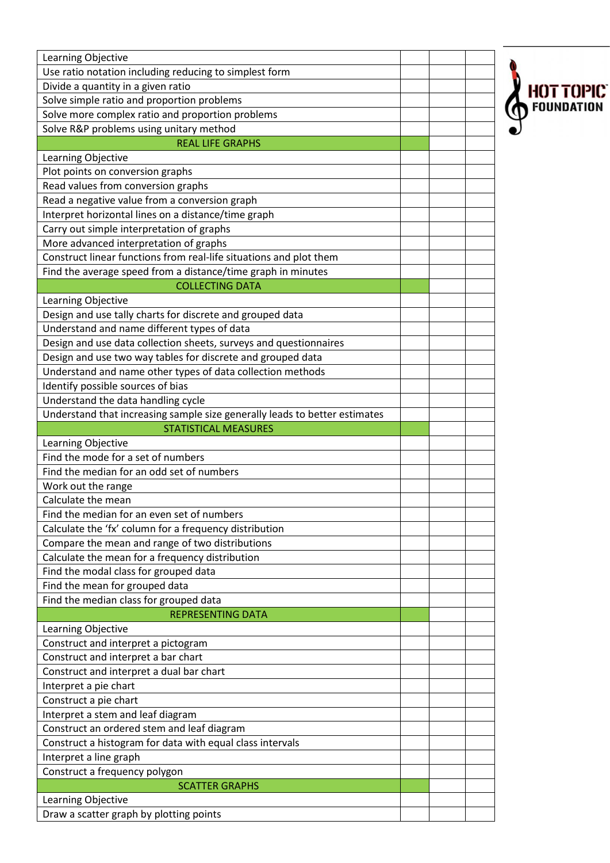| Use ratio notation including reducing to simplest form<br>Divide a quantity in a given ratio<br>HOT TOPIC<br>Solve simple ratio and proportion problems<br>Solve more complex ratio and proportion problems<br>Solve R&P problems using unitary method<br><b>REAL LIFE GRAPHS</b><br>Learning Objective<br>Plot points on conversion graphs<br>Read values from conversion graphs<br>Read a negative value from a conversion graph<br>Interpret horizontal lines on a distance/time graph<br>Carry out simple interpretation of graphs<br>More advanced interpretation of graphs<br>Construct linear functions from real-life situations and plot them<br>Find the average speed from a distance/time graph in minutes<br><b>COLLECTING DATA</b><br>Learning Objective<br>Design and use tally charts for discrete and grouped data<br>Understand and name different types of data<br>Design and use data collection sheets, surveys and questionnaires<br>Design and use two way tables for discrete and grouped data<br>Understand and name other types of data collection methods<br>Identify possible sources of bias<br>Understand the data handling cycle<br>Understand that increasing sample size generally leads to better estimates<br><b>STATISTICAL MEASURES</b><br>Learning Objective<br>Find the mode for a set of numbers<br>Find the median for an odd set of numbers<br>Work out the range<br>Calculate the mean<br>Find the median for an even set of numbers<br>Calculate the 'fx' column for a frequency distribution<br>Compare the mean and range of two distributions<br>Calculate the mean for a frequency distribution<br>Find the modal class for grouped data<br>Find the mean for grouped data<br>Find the median class for grouped data<br><b>REPRESENTING DATA</b><br>Learning Objective |
|------------------------------------------------------------------------------------------------------------------------------------------------------------------------------------------------------------------------------------------------------------------------------------------------------------------------------------------------------------------------------------------------------------------------------------------------------------------------------------------------------------------------------------------------------------------------------------------------------------------------------------------------------------------------------------------------------------------------------------------------------------------------------------------------------------------------------------------------------------------------------------------------------------------------------------------------------------------------------------------------------------------------------------------------------------------------------------------------------------------------------------------------------------------------------------------------------------------------------------------------------------------------------------------------------------------------------------------------------------------------------------------------------------------------------------------------------------------------------------------------------------------------------------------------------------------------------------------------------------------------------------------------------------------------------------------------------------------------------------------------------------------------------------------------------------------------|
|                                                                                                                                                                                                                                                                                                                                                                                                                                                                                                                                                                                                                                                                                                                                                                                                                                                                                                                                                                                                                                                                                                                                                                                                                                                                                                                                                                                                                                                                                                                                                                                                                                                                                                                                                                                                                        |
|                                                                                                                                                                                                                                                                                                                                                                                                                                                                                                                                                                                                                                                                                                                                                                                                                                                                                                                                                                                                                                                                                                                                                                                                                                                                                                                                                                                                                                                                                                                                                                                                                                                                                                                                                                                                                        |
|                                                                                                                                                                                                                                                                                                                                                                                                                                                                                                                                                                                                                                                                                                                                                                                                                                                                                                                                                                                                                                                                                                                                                                                                                                                                                                                                                                                                                                                                                                                                                                                                                                                                                                                                                                                                                        |
|                                                                                                                                                                                                                                                                                                                                                                                                                                                                                                                                                                                                                                                                                                                                                                                                                                                                                                                                                                                                                                                                                                                                                                                                                                                                                                                                                                                                                                                                                                                                                                                                                                                                                                                                                                                                                        |
|                                                                                                                                                                                                                                                                                                                                                                                                                                                                                                                                                                                                                                                                                                                                                                                                                                                                                                                                                                                                                                                                                                                                                                                                                                                                                                                                                                                                                                                                                                                                                                                                                                                                                                                                                                                                                        |
|                                                                                                                                                                                                                                                                                                                                                                                                                                                                                                                                                                                                                                                                                                                                                                                                                                                                                                                                                                                                                                                                                                                                                                                                                                                                                                                                                                                                                                                                                                                                                                                                                                                                                                                                                                                                                        |
|                                                                                                                                                                                                                                                                                                                                                                                                                                                                                                                                                                                                                                                                                                                                                                                                                                                                                                                                                                                                                                                                                                                                                                                                                                                                                                                                                                                                                                                                                                                                                                                                                                                                                                                                                                                                                        |
|                                                                                                                                                                                                                                                                                                                                                                                                                                                                                                                                                                                                                                                                                                                                                                                                                                                                                                                                                                                                                                                                                                                                                                                                                                                                                                                                                                                                                                                                                                                                                                                                                                                                                                                                                                                                                        |
|                                                                                                                                                                                                                                                                                                                                                                                                                                                                                                                                                                                                                                                                                                                                                                                                                                                                                                                                                                                                                                                                                                                                                                                                                                                                                                                                                                                                                                                                                                                                                                                                                                                                                                                                                                                                                        |
|                                                                                                                                                                                                                                                                                                                                                                                                                                                                                                                                                                                                                                                                                                                                                                                                                                                                                                                                                                                                                                                                                                                                                                                                                                                                                                                                                                                                                                                                                                                                                                                                                                                                                                                                                                                                                        |
|                                                                                                                                                                                                                                                                                                                                                                                                                                                                                                                                                                                                                                                                                                                                                                                                                                                                                                                                                                                                                                                                                                                                                                                                                                                                                                                                                                                                                                                                                                                                                                                                                                                                                                                                                                                                                        |
|                                                                                                                                                                                                                                                                                                                                                                                                                                                                                                                                                                                                                                                                                                                                                                                                                                                                                                                                                                                                                                                                                                                                                                                                                                                                                                                                                                                                                                                                                                                                                                                                                                                                                                                                                                                                                        |
|                                                                                                                                                                                                                                                                                                                                                                                                                                                                                                                                                                                                                                                                                                                                                                                                                                                                                                                                                                                                                                                                                                                                                                                                                                                                                                                                                                                                                                                                                                                                                                                                                                                                                                                                                                                                                        |
|                                                                                                                                                                                                                                                                                                                                                                                                                                                                                                                                                                                                                                                                                                                                                                                                                                                                                                                                                                                                                                                                                                                                                                                                                                                                                                                                                                                                                                                                                                                                                                                                                                                                                                                                                                                                                        |
|                                                                                                                                                                                                                                                                                                                                                                                                                                                                                                                                                                                                                                                                                                                                                                                                                                                                                                                                                                                                                                                                                                                                                                                                                                                                                                                                                                                                                                                                                                                                                                                                                                                                                                                                                                                                                        |
|                                                                                                                                                                                                                                                                                                                                                                                                                                                                                                                                                                                                                                                                                                                                                                                                                                                                                                                                                                                                                                                                                                                                                                                                                                                                                                                                                                                                                                                                                                                                                                                                                                                                                                                                                                                                                        |
|                                                                                                                                                                                                                                                                                                                                                                                                                                                                                                                                                                                                                                                                                                                                                                                                                                                                                                                                                                                                                                                                                                                                                                                                                                                                                                                                                                                                                                                                                                                                                                                                                                                                                                                                                                                                                        |
|                                                                                                                                                                                                                                                                                                                                                                                                                                                                                                                                                                                                                                                                                                                                                                                                                                                                                                                                                                                                                                                                                                                                                                                                                                                                                                                                                                                                                                                                                                                                                                                                                                                                                                                                                                                                                        |
|                                                                                                                                                                                                                                                                                                                                                                                                                                                                                                                                                                                                                                                                                                                                                                                                                                                                                                                                                                                                                                                                                                                                                                                                                                                                                                                                                                                                                                                                                                                                                                                                                                                                                                                                                                                                                        |
|                                                                                                                                                                                                                                                                                                                                                                                                                                                                                                                                                                                                                                                                                                                                                                                                                                                                                                                                                                                                                                                                                                                                                                                                                                                                                                                                                                                                                                                                                                                                                                                                                                                                                                                                                                                                                        |
|                                                                                                                                                                                                                                                                                                                                                                                                                                                                                                                                                                                                                                                                                                                                                                                                                                                                                                                                                                                                                                                                                                                                                                                                                                                                                                                                                                                                                                                                                                                                                                                                                                                                                                                                                                                                                        |
|                                                                                                                                                                                                                                                                                                                                                                                                                                                                                                                                                                                                                                                                                                                                                                                                                                                                                                                                                                                                                                                                                                                                                                                                                                                                                                                                                                                                                                                                                                                                                                                                                                                                                                                                                                                                                        |
|                                                                                                                                                                                                                                                                                                                                                                                                                                                                                                                                                                                                                                                                                                                                                                                                                                                                                                                                                                                                                                                                                                                                                                                                                                                                                                                                                                                                                                                                                                                                                                                                                                                                                                                                                                                                                        |
|                                                                                                                                                                                                                                                                                                                                                                                                                                                                                                                                                                                                                                                                                                                                                                                                                                                                                                                                                                                                                                                                                                                                                                                                                                                                                                                                                                                                                                                                                                                                                                                                                                                                                                                                                                                                                        |
|                                                                                                                                                                                                                                                                                                                                                                                                                                                                                                                                                                                                                                                                                                                                                                                                                                                                                                                                                                                                                                                                                                                                                                                                                                                                                                                                                                                                                                                                                                                                                                                                                                                                                                                                                                                                                        |
|                                                                                                                                                                                                                                                                                                                                                                                                                                                                                                                                                                                                                                                                                                                                                                                                                                                                                                                                                                                                                                                                                                                                                                                                                                                                                                                                                                                                                                                                                                                                                                                                                                                                                                                                                                                                                        |
|                                                                                                                                                                                                                                                                                                                                                                                                                                                                                                                                                                                                                                                                                                                                                                                                                                                                                                                                                                                                                                                                                                                                                                                                                                                                                                                                                                                                                                                                                                                                                                                                                                                                                                                                                                                                                        |
|                                                                                                                                                                                                                                                                                                                                                                                                                                                                                                                                                                                                                                                                                                                                                                                                                                                                                                                                                                                                                                                                                                                                                                                                                                                                                                                                                                                                                                                                                                                                                                                                                                                                                                                                                                                                                        |
|                                                                                                                                                                                                                                                                                                                                                                                                                                                                                                                                                                                                                                                                                                                                                                                                                                                                                                                                                                                                                                                                                                                                                                                                                                                                                                                                                                                                                                                                                                                                                                                                                                                                                                                                                                                                                        |
|                                                                                                                                                                                                                                                                                                                                                                                                                                                                                                                                                                                                                                                                                                                                                                                                                                                                                                                                                                                                                                                                                                                                                                                                                                                                                                                                                                                                                                                                                                                                                                                                                                                                                                                                                                                                                        |
|                                                                                                                                                                                                                                                                                                                                                                                                                                                                                                                                                                                                                                                                                                                                                                                                                                                                                                                                                                                                                                                                                                                                                                                                                                                                                                                                                                                                                                                                                                                                                                                                                                                                                                                                                                                                                        |
|                                                                                                                                                                                                                                                                                                                                                                                                                                                                                                                                                                                                                                                                                                                                                                                                                                                                                                                                                                                                                                                                                                                                                                                                                                                                                                                                                                                                                                                                                                                                                                                                                                                                                                                                                                                                                        |
|                                                                                                                                                                                                                                                                                                                                                                                                                                                                                                                                                                                                                                                                                                                                                                                                                                                                                                                                                                                                                                                                                                                                                                                                                                                                                                                                                                                                                                                                                                                                                                                                                                                                                                                                                                                                                        |
|                                                                                                                                                                                                                                                                                                                                                                                                                                                                                                                                                                                                                                                                                                                                                                                                                                                                                                                                                                                                                                                                                                                                                                                                                                                                                                                                                                                                                                                                                                                                                                                                                                                                                                                                                                                                                        |
|                                                                                                                                                                                                                                                                                                                                                                                                                                                                                                                                                                                                                                                                                                                                                                                                                                                                                                                                                                                                                                                                                                                                                                                                                                                                                                                                                                                                                                                                                                                                                                                                                                                                                                                                                                                                                        |
|                                                                                                                                                                                                                                                                                                                                                                                                                                                                                                                                                                                                                                                                                                                                                                                                                                                                                                                                                                                                                                                                                                                                                                                                                                                                                                                                                                                                                                                                                                                                                                                                                                                                                                                                                                                                                        |
|                                                                                                                                                                                                                                                                                                                                                                                                                                                                                                                                                                                                                                                                                                                                                                                                                                                                                                                                                                                                                                                                                                                                                                                                                                                                                                                                                                                                                                                                                                                                                                                                                                                                                                                                                                                                                        |
|                                                                                                                                                                                                                                                                                                                                                                                                                                                                                                                                                                                                                                                                                                                                                                                                                                                                                                                                                                                                                                                                                                                                                                                                                                                                                                                                                                                                                                                                                                                                                                                                                                                                                                                                                                                                                        |
|                                                                                                                                                                                                                                                                                                                                                                                                                                                                                                                                                                                                                                                                                                                                                                                                                                                                                                                                                                                                                                                                                                                                                                                                                                                                                                                                                                                                                                                                                                                                                                                                                                                                                                                                                                                                                        |
|                                                                                                                                                                                                                                                                                                                                                                                                                                                                                                                                                                                                                                                                                                                                                                                                                                                                                                                                                                                                                                                                                                                                                                                                                                                                                                                                                                                                                                                                                                                                                                                                                                                                                                                                                                                                                        |
| Construct and interpret a pictogram                                                                                                                                                                                                                                                                                                                                                                                                                                                                                                                                                                                                                                                                                                                                                                                                                                                                                                                                                                                                                                                                                                                                                                                                                                                                                                                                                                                                                                                                                                                                                                                                                                                                                                                                                                                    |
| Construct and interpret a bar chart                                                                                                                                                                                                                                                                                                                                                                                                                                                                                                                                                                                                                                                                                                                                                                                                                                                                                                                                                                                                                                                                                                                                                                                                                                                                                                                                                                                                                                                                                                                                                                                                                                                                                                                                                                                    |
| Construct and interpret a dual bar chart                                                                                                                                                                                                                                                                                                                                                                                                                                                                                                                                                                                                                                                                                                                                                                                                                                                                                                                                                                                                                                                                                                                                                                                                                                                                                                                                                                                                                                                                                                                                                                                                                                                                                                                                                                               |
| Interpret a pie chart                                                                                                                                                                                                                                                                                                                                                                                                                                                                                                                                                                                                                                                                                                                                                                                                                                                                                                                                                                                                                                                                                                                                                                                                                                                                                                                                                                                                                                                                                                                                                                                                                                                                                                                                                                                                  |
| Construct a pie chart                                                                                                                                                                                                                                                                                                                                                                                                                                                                                                                                                                                                                                                                                                                                                                                                                                                                                                                                                                                                                                                                                                                                                                                                                                                                                                                                                                                                                                                                                                                                                                                                                                                                                                                                                                                                  |
| Interpret a stem and leaf diagram                                                                                                                                                                                                                                                                                                                                                                                                                                                                                                                                                                                                                                                                                                                                                                                                                                                                                                                                                                                                                                                                                                                                                                                                                                                                                                                                                                                                                                                                                                                                                                                                                                                                                                                                                                                      |
| Construct an ordered stem and leaf diagram                                                                                                                                                                                                                                                                                                                                                                                                                                                                                                                                                                                                                                                                                                                                                                                                                                                                                                                                                                                                                                                                                                                                                                                                                                                                                                                                                                                                                                                                                                                                                                                                                                                                                                                                                                             |
|                                                                                                                                                                                                                                                                                                                                                                                                                                                                                                                                                                                                                                                                                                                                                                                                                                                                                                                                                                                                                                                                                                                                                                                                                                                                                                                                                                                                                                                                                                                                                                                                                                                                                                                                                                                                                        |
| Construct a histogram for data with equal class intervals                                                                                                                                                                                                                                                                                                                                                                                                                                                                                                                                                                                                                                                                                                                                                                                                                                                                                                                                                                                                                                                                                                                                                                                                                                                                                                                                                                                                                                                                                                                                                                                                                                                                                                                                                              |
| Interpret a line graph                                                                                                                                                                                                                                                                                                                                                                                                                                                                                                                                                                                                                                                                                                                                                                                                                                                                                                                                                                                                                                                                                                                                                                                                                                                                                                                                                                                                                                                                                                                                                                                                                                                                                                                                                                                                 |
| Construct a frequency polygon                                                                                                                                                                                                                                                                                                                                                                                                                                                                                                                                                                                                                                                                                                                                                                                                                                                                                                                                                                                                                                                                                                                                                                                                                                                                                                                                                                                                                                                                                                                                                                                                                                                                                                                                                                                          |
| <b>SCATTER GRAPHS</b>                                                                                                                                                                                                                                                                                                                                                                                                                                                                                                                                                                                                                                                                                                                                                                                                                                                                                                                                                                                                                                                                                                                                                                                                                                                                                                                                                                                                                                                                                                                                                                                                                                                                                                                                                                                                  |
| Learning Objective                                                                                                                                                                                                                                                                                                                                                                                                                                                                                                                                                                                                                                                                                                                                                                                                                                                                                                                                                                                                                                                                                                                                                                                                                                                                                                                                                                                                                                                                                                                                                                                                                                                                                                                                                                                                     |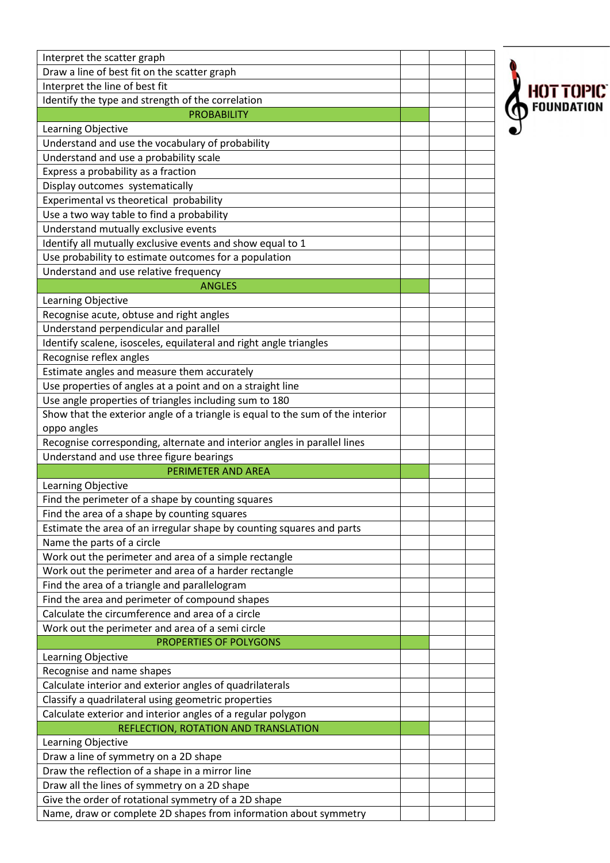| Interpret the scatter graph                                                    |           |
|--------------------------------------------------------------------------------|-----------|
| Draw a line of best fit on the scatter graph                                   |           |
| Interpret the line of best fit                                                 | HOT TOPIC |
| Identify the type and strength of the correlation                              |           |
| <b>PROBABILITY</b>                                                             |           |
| Learning Objective                                                             |           |
| Understand and use the vocabulary of probability                               |           |
| Understand and use a probability scale                                         |           |
| Express a probability as a fraction                                            |           |
| Display outcomes systematically                                                |           |
| Experimental vs theoretical probability                                        |           |
| Use a two way table to find a probability                                      |           |
| Understand mutually exclusive events                                           |           |
| Identify all mutually exclusive events and show equal to 1                     |           |
| Use probability to estimate outcomes for a population                          |           |
| Understand and use relative frequency                                          |           |
| <b>ANGLES</b>                                                                  |           |
| Learning Objective                                                             |           |
| Recognise acute, obtuse and right angles                                       |           |
| Understand perpendicular and parallel                                          |           |
| Identify scalene, isosceles, equilateral and right angle triangles             |           |
| Recognise reflex angles                                                        |           |
| Estimate angles and measure them accurately                                    |           |
| Use properties of angles at a point and on a straight line                     |           |
| Use angle properties of triangles including sum to 180                         |           |
| Show that the exterior angle of a triangle is equal to the sum of the interior |           |
| oppo angles                                                                    |           |
| Recognise corresponding, alternate and interior angles in parallel lines       |           |
| Understand and use three figure bearings                                       |           |
| PERIMETER AND AREA                                                             |           |
| Learning Objective                                                             |           |
| Find the perimeter of a shape by counting squares                              |           |
| Find the area of a shape by counting squares                                   |           |
| Estimate the area of an irregular shape by counting squares and parts          |           |
| Name the parts of a circle                                                     |           |
| Work out the perimeter and area of a simple rectangle                          |           |
| Work out the perimeter and area of a harder rectangle                          |           |
| Find the area of a triangle and parallelogram                                  |           |
| Find the area and perimeter of compound shapes                                 |           |
| Calculate the circumference and area of a circle                               |           |
| Work out the perimeter and area of a semi circle                               |           |
| <b>PROPERTIES OF POLYGONS</b>                                                  |           |
|                                                                                |           |
| Learning Objective                                                             |           |
| Recognise and name shapes                                                      |           |
| Calculate interior and exterior angles of quadrilaterals                       |           |
| Classify a quadrilateral using geometric properties                            |           |
| Calculate exterior and interior angles of a regular polygon                    |           |
| REFLECTION, ROTATION AND TRANSLATION                                           |           |
| Learning Objective                                                             |           |
| Draw a line of symmetry on a 2D shape                                          |           |
| Draw the reflection of a shape in a mirror line                                |           |
| Draw all the lines of symmetry on a 2D shape                                   |           |
| Give the order of rotational symmetry of a 2D shape                            |           |
| Name, draw or complete 2D shapes from information about symmetry               |           |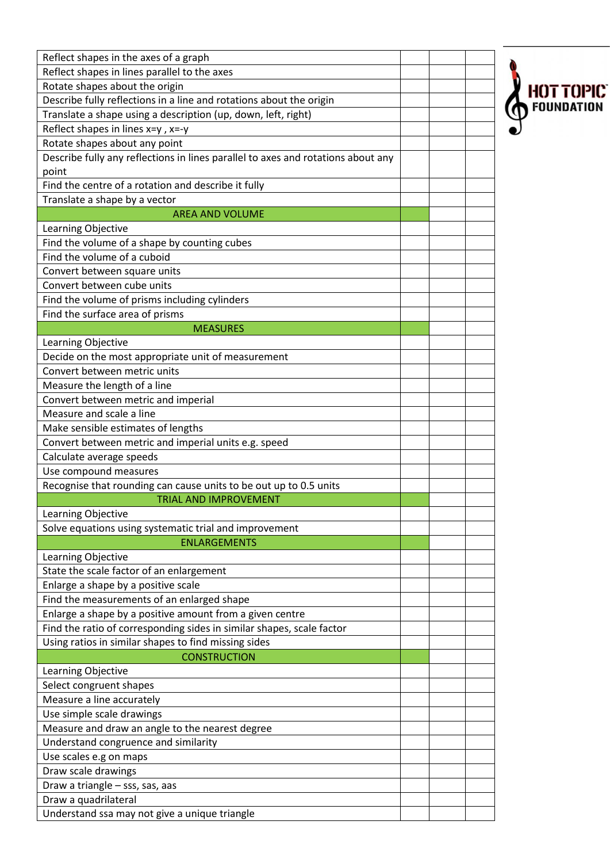| Reflect shapes in the axes of a graph                                            |  |                  |
|----------------------------------------------------------------------------------|--|------------------|
| Reflect shapes in lines parallel to the axes                                     |  |                  |
| Rotate shapes about the origin                                                   |  |                  |
| Describe fully reflections in a line and rotations about the origin              |  | <b>HOT TOPIC</b> |
| Translate a shape using a description (up, down, left, right)                    |  |                  |
| Reflect shapes in lines $x=y$ , $x=y$                                            |  |                  |
| Rotate shapes about any point                                                    |  |                  |
| Describe fully any reflections in lines parallel to axes and rotations about any |  |                  |
| point                                                                            |  |                  |
| Find the centre of a rotation and describe it fully                              |  |                  |
| Translate a shape by a vector                                                    |  |                  |
| <b>AREA AND VOLUME</b>                                                           |  |                  |
| Learning Objective                                                               |  |                  |
| Find the volume of a shape by counting cubes                                     |  |                  |
| Find the volume of a cuboid                                                      |  |                  |
| Convert between square units                                                     |  |                  |
| Convert between cube units                                                       |  |                  |
| Find the volume of prisms including cylinders                                    |  |                  |
| Find the surface area of prisms                                                  |  |                  |
| <b>MEASURES</b>                                                                  |  |                  |
| Learning Objective                                                               |  |                  |
| Decide on the most appropriate unit of measurement                               |  |                  |
| Convert between metric units                                                     |  |                  |
| Measure the length of a line                                                     |  |                  |
| Convert between metric and imperial                                              |  |                  |
| Measure and scale a line                                                         |  |                  |
|                                                                                  |  |                  |
| Make sensible estimates of lengths                                               |  |                  |
| Convert between metric and imperial units e.g. speed                             |  |                  |
| Calculate average speeds                                                         |  |                  |
| Use compound measures                                                            |  |                  |
| Recognise that rounding can cause units to be out up to 0.5 units                |  |                  |
| <b>TRIAL AND IMPROVEMENT</b>                                                     |  |                  |
| Learning Objective                                                               |  |                  |
| Solve equations using systematic trial and improvement                           |  |                  |
| <b>ENLARGEMENTS</b>                                                              |  |                  |
| Learning Objective                                                               |  |                  |
| State the scale factor of an enlargement                                         |  |                  |
| Enlarge a shape by a positive scale                                              |  |                  |
| Find the measurements of an enlarged shape                                       |  |                  |
| Enlarge a shape by a positive amount from a given centre                         |  |                  |
| Find the ratio of corresponding sides in similar shapes, scale factor            |  |                  |
| Using ratios in similar shapes to find missing sides                             |  |                  |
| <b>CONSTRUCTION</b>                                                              |  |                  |
| Learning Objective                                                               |  |                  |
| Select congruent shapes                                                          |  |                  |
| Measure a line accurately                                                        |  |                  |
| Use simple scale drawings                                                        |  |                  |
| Measure and draw an angle to the nearest degree                                  |  |                  |
| Understand congruence and similarity                                             |  |                  |
| Use scales e.g on maps                                                           |  |                  |
| Draw scale drawings                                                              |  |                  |
| Draw a triangle - sss, sas, aas                                                  |  |                  |
| Draw a quadrilateral                                                             |  |                  |
| Understand ssa may not give a unique triangle                                    |  |                  |